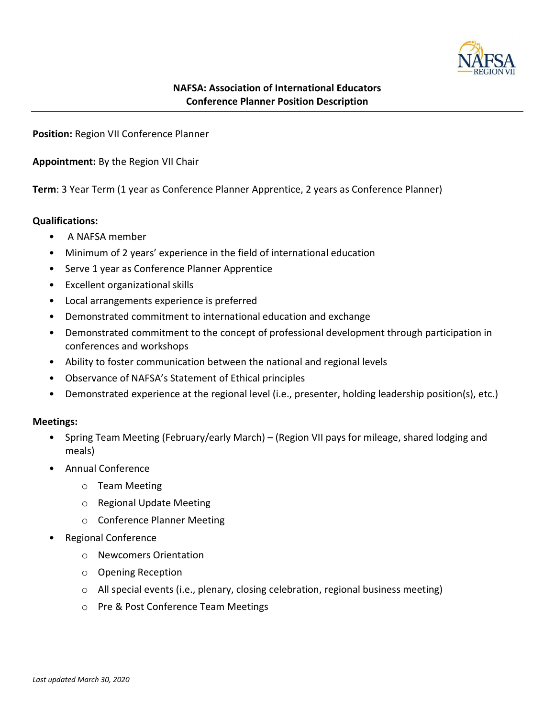

# NAFSA: Association of International Educators Conference Planner Position Description

Position: Region VII Conference Planner

Appointment: By the Region VII Chair

Term: 3 Year Term (1 year as Conference Planner Apprentice, 2 years as Conference Planner)

# Qualifications:

- A NAFSA member
- Minimum of 2 years' experience in the field of international education
- Serve 1 year as Conference Planner Apprentice
- Excellent organizational skills
- Local arrangements experience is preferred
- Demonstrated commitment to international education and exchange
- Demonstrated commitment to the concept of professional development through participation in conferences and workshops
- Ability to foster communication between the national and regional levels
- Observance of NAFSA's Statement of Ethical principles
- Demonstrated experience at the regional level (i.e., presenter, holding leadership position(s), etc.)

# Meetings:

- Spring Team Meeting (February/early March) (Region VII pays for mileage, shared lodging and meals)
- Annual Conference
	- o Team Meeting
	- o Regional Update Meeting
	- o Conference Planner Meeting
- Regional Conference
	- o Newcomers Orientation
	- o Opening Reception
	- $\circ$  All special events (i.e., plenary, closing celebration, regional business meeting)
	- o Pre & Post Conference Team Meetings